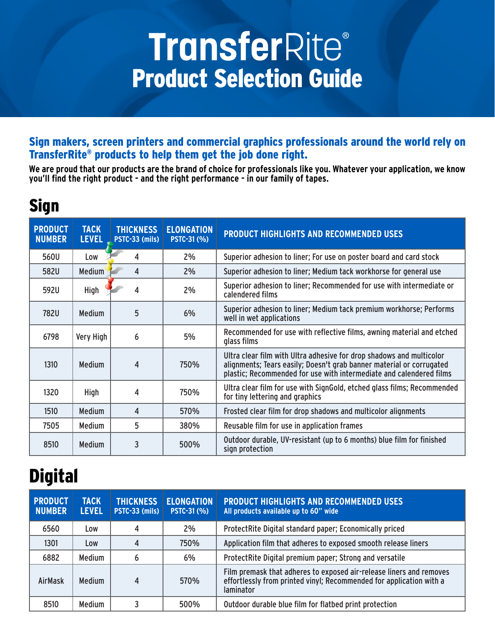# **TransferRite®** Product Selection Guide

#### Sign makers, screen printers and commercial graphics professionals around the world rely on TransferRite® products to help them get the job done right.

**We are proud that our products are the brand of choice for professionals like you. Whatever your application, we know you'll find the right product - and the right performance - in our family of tapes.**

### Sign

| <b>PRODUCT</b><br><b>NUMBER</b> | <b>TACK</b><br><b>LEVEL</b> | <b>THICKNESS</b><br>PSTC-33 (mils) | <b>ELONGATION</b><br><b>PSTC-31 (%)</b> | <b>PRODUCT HIGHLIGHTS AND RECOMMENDED USES</b>                                                                                                                                                                      |
|---------------------------------|-----------------------------|------------------------------------|-----------------------------------------|---------------------------------------------------------------------------------------------------------------------------------------------------------------------------------------------------------------------|
| 560U                            | Low                         | 4                                  | 2%                                      | Superior adhesion to liner; For use on poster board and card stock                                                                                                                                                  |
| 582U                            | <b>Medium</b>               | 4                                  | 2%                                      | Superior adhesion to liner; Medium tack workhorse for general use                                                                                                                                                   |
| 592U                            | High                        | 4                                  | 2%                                      | Superior adhesion to liner; Recommended for use with intermediate or<br>calendered films                                                                                                                            |
| 782U                            | <b>Medium</b>               | 5                                  | 6%                                      | Superior adhesion to liner; Medium tack premium workhorse; Performs<br>well in wet applications                                                                                                                     |
| 6798                            | Very High                   | 6                                  | 5%                                      | Recommended for use with reflective films, awning material and etched<br>glass films                                                                                                                                |
| 1310                            | <b>Medium</b>               | 4                                  | 750%                                    | Ultra clear film with Ultra adhesive for drop shadows and multicolor<br>alignments; Tears easily; Doesn't grab banner material or corrugated<br>plastic; Recommended for use with intermediate and calendered films |
| 1320                            | High                        | 4                                  | 750%                                    | Ultra clear film for use with SignGold, etched glass films; Recommended<br>for tiny lettering and graphics                                                                                                          |
| 1510                            | <b>Medium</b>               | 4                                  | 570%                                    | Frosted clear film for drop shadows and multicolor alignments                                                                                                                                                       |
| 7505                            | <b>Medium</b>               | 5                                  | 380%                                    | Reusable film for use in application frames                                                                                                                                                                         |
| 8510                            | <b>Medium</b>               | 3                                  | 500%                                    | Outdoor durable, UV-resistant (up to 6 months) blue film for finished<br>sign protection                                                                                                                            |

# **Digital**

| <b>PRODUCT</b><br><b>NUMBER</b> | <b>TACK</b><br><b>LEVEL</b> | <b>THICKNESS</b><br>PSTC-33 (mils) | <b>ELONGATION</b><br><b>PSTC-31 (%)</b> | <b>PRODUCT HIGHLIGHTS AND RECOMMENDED USES</b><br>All products available up to 60" wide                                                                        |
|---------------------------------|-----------------------------|------------------------------------|-----------------------------------------|----------------------------------------------------------------------------------------------------------------------------------------------------------------|
| 6560                            | Low                         | 4                                  | 2%                                      | ProtectRite Digital standard paper; Economically priced                                                                                                        |
| 1301                            | Low                         | 4                                  | 750%                                    | Application film that adheres to exposed smooth release liners                                                                                                 |
| 6882                            | <b>Medium</b>               | 6                                  | 6%                                      | ProtectRite Digital premium paper; Strong and versatile                                                                                                        |
| <b>AirMask</b>                  | <b>Medium</b>               | 4                                  | 570%                                    | Film premask that adheres to exposed air-release liners and removes<br>effortlessly from printed vinyl; Recommended for application with a<br><b>laminator</b> |
| 8510                            | <b>Medium</b>               | 3                                  | 500%                                    | Outdoor durable blue film for flatbed print protection                                                                                                         |